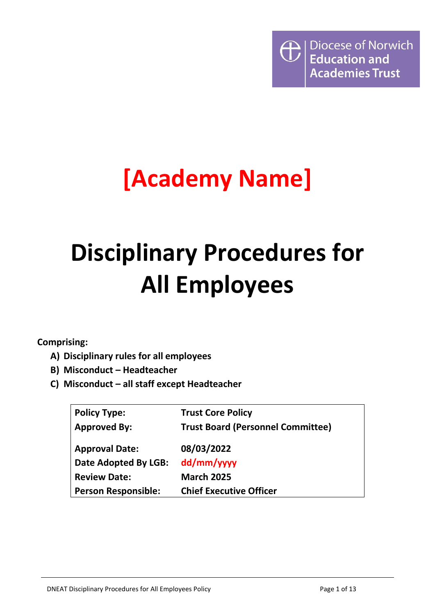

# **[Academy Name]**

# **Disciplinary Procedures for All Employees**

**Comprising:**

- **A) Disciplinary rules for all employees**
- **B) Misconduct – Headteacher**
- **C) Misconduct – all staff except Headteacher**

| <b>Policy Type:</b>        | <b>Trust Core Policy</b>                 |
|----------------------------|------------------------------------------|
| <b>Approved By:</b>        | <b>Trust Board (Personnel Committee)</b> |
|                            |                                          |
| <b>Approval Date:</b>      | 08/03/2022                               |
| Date Adopted By LGB:       | dd/mm/yyyy                               |
| <b>Review Date:</b>        | <b>March 2025</b>                        |
| <b>Person Responsible:</b> | <b>Chief Executive Officer</b>           |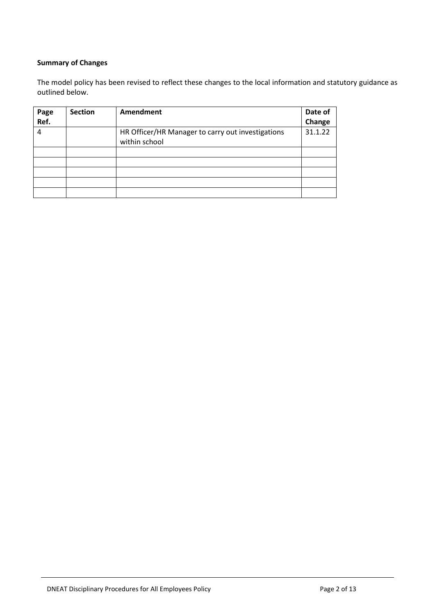### **Summary of Changes**

The model policy has been revised to reflect these changes to the local information and statutory guidance as outlined below.

| Page | <b>Section</b> | <b>Amendment</b>                                  | Date of |
|------|----------------|---------------------------------------------------|---------|
| Ref. |                |                                                   | Change  |
| 4    |                | HR Officer/HR Manager to carry out investigations | 31.1.22 |
|      |                | within school                                     |         |
|      |                |                                                   |         |
|      |                |                                                   |         |
|      |                |                                                   |         |
|      |                |                                                   |         |
|      |                |                                                   |         |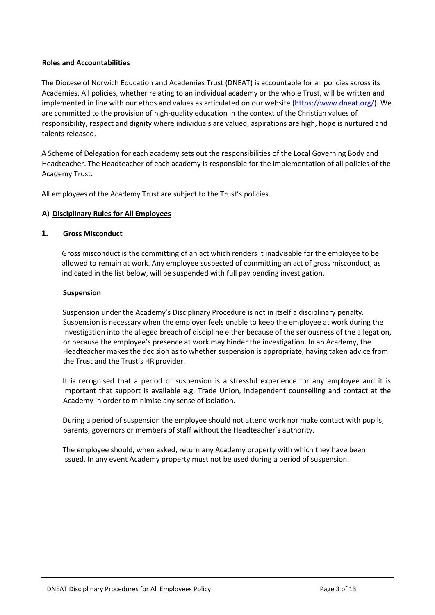#### **Roles and Accountabilities**

The Diocese of Norwich Education and Academies Trust (DNEAT) is accountable for all policies across its Academies. All policies, whether relating to an individual academy or the whole Trust, will be written and implemented in line with our ethos and values as articulated on our website [\(https://www.dneat.org/\)](https://www.dneat.org/). We are committed to the provision of high-quality education in the context of the Christian values of responsibility, respect and dignity where individuals are valued, aspirations are high, hope is nurtured and talents released.

A Scheme of Delegation for each academy sets out the responsibilities of the Local Governing Body and Headteacher. The Headteacher of each academy is responsible for the implementation of all policies of the Academy Trust.

All employees of the Academy Trust are subject to the Trust's policies.

#### **A) Disciplinary Rules for All Employees**

#### **1. Gross Misconduct**

Gross misconduct is the committing of an act which renders it inadvisable for the employee to be allowed to remain at work. Any employee suspected of committing an act of gross misconduct, as indicated in the list below, will be suspended with full pay pending investigation.

#### **Suspension**

Suspension under the Academy's Disciplinary Procedure is not in itself a disciplinary penalty. Suspension is necessary when the employer feels unable to keep the employee at work during the investigation into the alleged breach of discipline either because of the seriousness of the allegation, or because the employee's presence at work may hinder the investigation. In an Academy, the Headteacher makes the decision as to whether suspension is appropriate, having taken advice from the Trust and the Trust's HR provider.

It is recognised that a period of suspension is a stressful experience for any employee and it is important that support is available e.g. Trade Union, independent counselling and contact at the Academy in order to minimise any sense of isolation.

During a period of suspension the employee should not attend work nor make contact with pupils, parents, governors or members of staff without the Headteacher's authority.

The employee should, when asked, return any Academy property with which they have been issued. In any event Academy property must not be used during a period of suspension.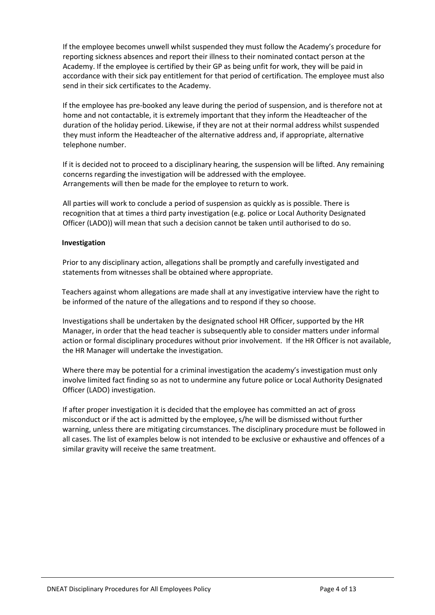If the employee becomes unwell whilst suspended they must follow the Academy's procedure for reporting sickness absences and report their illness to their nominated contact person at the Academy. If the employee is certified by their GP as being unfit for work, they will be paid in accordance with their sick pay entitlement for that period of certification. The employee must also send in their sick certificates to the Academy.

If the employee has pre-booked any leave during the period of suspension, and is therefore not at home and not contactable, it is extremely important that they inform the Headteacher of the duration of the holiday period. Likewise, if they are not at their normal address whilst suspended they must inform the Headteacher of the alternative address and, if appropriate, alternative telephone number.

If it is decided not to proceed to a disciplinary hearing, the suspension will be lifted. Any remaining concerns regarding the investigation will be addressed with the employee. Arrangements will then be made for the employee to return to work.

All parties will work to conclude a period of suspension as quickly as is possible. There is recognition that at times a third party investigation (e.g. police or Local Authority Designated Officer (LADO)) will mean that such a decision cannot be taken until authorised to do so.

#### **Investigation**

Prior to any disciplinary action, allegations shall be promptly and carefully investigated and statements from witnesses shall be obtained where appropriate.

Teachers against whom allegations are made shall at any investigative interview have the right to be informed of the nature of the allegations and to respond if they so choose.

Investigations shall be undertaken by the designated school HR Officer, supported by the HR Manager, in order that the head teacher is subsequently able to consider matters under informal action or formal disciplinary procedures without prior involvement. If the HR Officer is not available, the HR Manager will undertake the investigation.

Where there may be potential for a criminal investigation the academy's investigation must only involve limited fact finding so as not to undermine any future police or Local Authority Designated Officer (LADO) investigation.

If after proper investigation it is decided that the employee has committed an act of gross misconduct or if the act is admitted by the employee, s/he will be dismissed without further warning, unless there are mitigating circumstances. The disciplinary procedure must be followed in all cases. The list of examples below is not intended to be exclusive or exhaustive and offences of a similar gravity will receive the same treatment.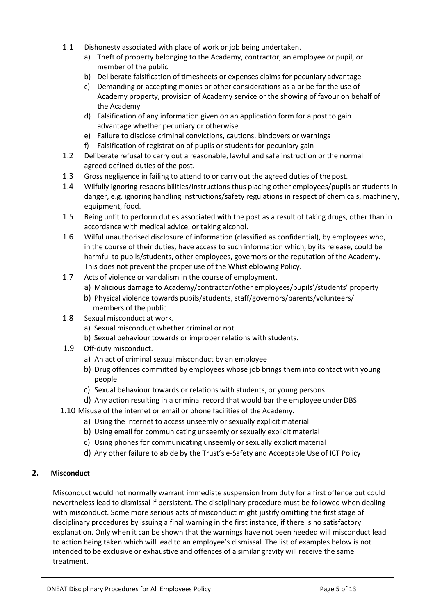- 1.1 Dishonesty associated with place of work or job being undertaken.
	- a) Theft of property belonging to the Academy, contractor, an employee or pupil, or member of the public
	- b) Deliberate falsification of timesheets or expenses claims for pecuniary advantage
	- c) Demanding or accepting monies or other considerations as a bribe for the use of Academy property, provision of Academy service or the showing of favour on behalf of the Academy
	- d) Falsification of any information given on an application form for a post to gain advantage whether pecuniary or otherwise
	- e) Failure to disclose criminal convictions, cautions, bindovers or warnings
	- f) Falsification of registration of pupils or students for pecuniary gain
- 1.2 Deliberate refusal to carry out a reasonable, lawful and safe instruction or the normal agreed defined duties of the post.
- 1.3 Gross negligence in failing to attend to or carry out the agreed duties of the post.
- 1.4 Wilfully ignoring responsibilities/instructions thus placing other employees/pupils or students in danger, e.g. ignoring handling instructions/safety regulations in respect of chemicals, machinery, equipment, food.
- 1.5 Being unfit to perform duties associated with the post as a result of taking drugs, other than in accordance with medical advice, or taking alcohol.
- 1.6 Wilful unauthorised disclosure of information (classified as confidential), by employees who, in the course of their duties, have access to such information which, by its release, could be harmful to pupils/students, other employees, governors or the reputation of the Academy. This does not prevent the proper use of the Whistleblowing Policy.
- 1.7 Acts of violence or vandalism in the course of employment.
	- a) Malicious damage to Academy/contractor/other employees/pupils'/students' property
	- b) Physical violence towards pupils/students, staff/governors/parents/volunteers/ members of the public
- 1.8 Sexual misconduct at work.
	- a) Sexual misconduct whether criminal or not
	- b) Sexual behaviour towards or improper relations with students.
- 1.9 Off-duty misconduct.
	- a) An act of criminal sexual misconduct by an employee
	- b) Drug offences committed by employees whose job brings them into contact with young people
	- c) Sexual behaviour towards or relations with students, or young persons
	- d) Any action resulting in a criminal record that would bar the employee under DBS
- 1.10 Misuse of the internet or email or phone facilities of the Academy.
	- a) Using the internet to access unseemly or sexually explicit material
	- b) Using email for communicating unseemly or sexually explicit material
	- c) Using phones for communicating unseemly or sexually explicit material
	- d) Any other failure to abide by the Trust's e-Safety and Acceptable Use of ICT Policy

#### **2. Misconduct**

Misconduct would not normally warrant immediate suspension from duty for a first offence but could nevertheless lead to dismissal if persistent. The disciplinary procedure must be followed when dealing with misconduct. Some more serious acts of misconduct might justify omitting the first stage of disciplinary procedures by issuing a final warning in the first instance, if there is no satisfactory explanation. Only when it can be shown that the warnings have not been heeded will misconduct lead to action being taken which will lead to an employee's dismissal. The list of examples below is not intended to be exclusive or exhaustive and offences of a similar gravity will receive the same treatment.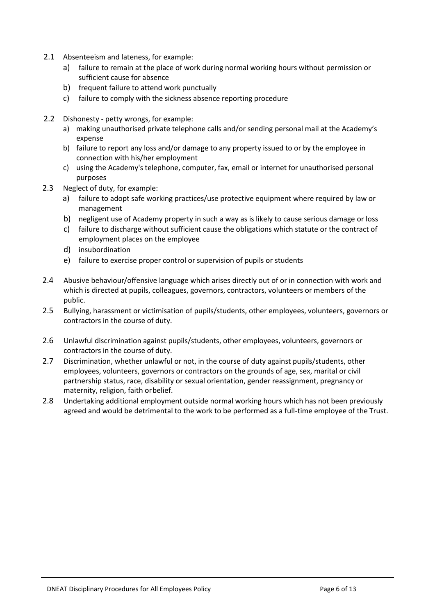- 2.1 Absenteeism and lateness, for example:
	- a) failure to remain at the place of work during normal working hours without permission or sufficient cause for absence
	- b) frequent failure to attend work punctually
	- c) failure to comply with the sickness absence reporting procedure
- 2.2 Dishonesty petty wrongs, for example:
	- a) making unauthorised private telephone calls and/or sending personal mail at the Academy's expense
	- b) failure to report any loss and/or damage to any property issued to or by the employee in connection with his/her employment
	- c) using the Academy's telephone, computer, fax, email or internet for unauthorised personal purposes
- 2.3 Neglect of duty, for example:
	- a) failure to adopt safe working practices/use protective equipment where required by law or management
	- b) negligent use of Academy property in such a way as is likely to cause serious damage or loss
	- c) failure to discharge without sufficient cause the obligations which statute or the contract of employment places on the employee
	- d) insubordination
	- e) failure to exercise proper control or supervision of pupils or students
- 2.4 Abusive behaviour/offensive language which arises directly out of or in connection with work and which is directed at pupils, colleagues, governors, contractors, volunteers or members of the public.
- 2.5 Bullying, harassment or victimisation of pupils/students, other employees, volunteers, governors or contractors in the course of duty.
- 2.6 Unlawful discrimination against pupils/students, other employees, volunteers, governors or contractors in the course of duty.
- 2.7 Discrimination, whether unlawful or not, in the course of duty against pupils/students, other employees, volunteers, governors or contractors on the grounds of age, sex, marital or civil partnership status, race, disability or sexual orientation, gender reassignment, pregnancy or maternity, religion, faith orbelief.
- 2.8 Undertaking additional employment outside normal working hours which has not been previously agreed and would be detrimental to the work to be performed as a full-time employee of the Trust.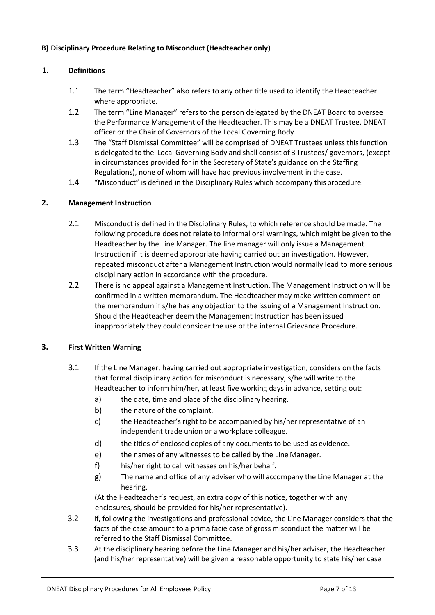#### **B) Disciplinary Procedure Relating to Misconduct (Headteacher only)**

#### **1. Definitions**

- 1.1 The term "Headteacher" also refers to any other title used to identify the Headteacher where appropriate.
- 1.2 The term "Line Manager" refers to the person delegated by the DNEAT Board to oversee the Performance Management of the Headteacher. This may be a DNEAT Trustee, DNEAT officer or the Chair of Governors of the Local Governing Body.
- 1.3 The "Staff Dismissal Committee" will be comprised of DNEAT Trustees unless thisfunction is delegated to the Local Governing Body and shall consist of 3 Trustees/ governors, (except in circumstances provided for in the Secretary of State's guidance on the Staffing Regulations), none of whom will have had previous involvement in the case.
- 1.4 "Misconduct" is defined in the Disciplinary Rules which accompany thisprocedure.

#### **2. Management Instruction**

- 2.1 Misconduct is defined in the Disciplinary Rules, to which reference should be made. The following procedure does not relate to informal oral warnings, which might be given to the Headteacher by the Line Manager. The line manager will only issue a Management Instruction if it is deemed appropriate having carried out an investigation. However, repeated misconduct after a Management Instruction would normally lead to more serious disciplinary action in accordance with the procedure.
- 2.2 There is no appeal against a Management Instruction. The Management Instruction will be confirmed in a written memorandum. The Headteacher may make written comment on the memorandum if s/he has any objection to the issuing of a Management Instruction. Should the Headteacher deem the Management Instruction has been issued inappropriately they could consider the use of the internal Grievance Procedure.

#### **3. First Written Warning**

- 3.1 If the Line Manager, having carried out appropriate investigation, considers on the facts that formal disciplinary action for misconduct is necessary, s/he will write to the Headteacher to inform him/her, at least five working days in advance, setting out:
	- a) the date, time and place of the disciplinary hearing.
	- b) the nature of the complaint.
	- c) the Headteacher's right to be accompanied by his/her representative of an independent trade union or a workplace colleague.
	- d) the titles of enclosed copies of any documents to be used as evidence.
	- e) the names of any witnesses to be called by the Line Manager.
	- f) his/her right to call witnesses on his/her behalf.
	- g) The name and office of any adviser who will accompany the Line Manager at the hearing.

(At the Headteacher's request, an extra copy of this notice, together with any enclosures, should be provided for his/her representative).

- 3.2 If, following the investigations and professional advice, the Line Manager considers that the facts of the case amount to a prima facie case of gross misconduct the matter will be referred to the Staff Dismissal Committee.
- 3.3 At the disciplinary hearing before the Line Manager and his/her adviser, the Headteacher (and his/her representative) will be given a reasonable opportunity to state his/her case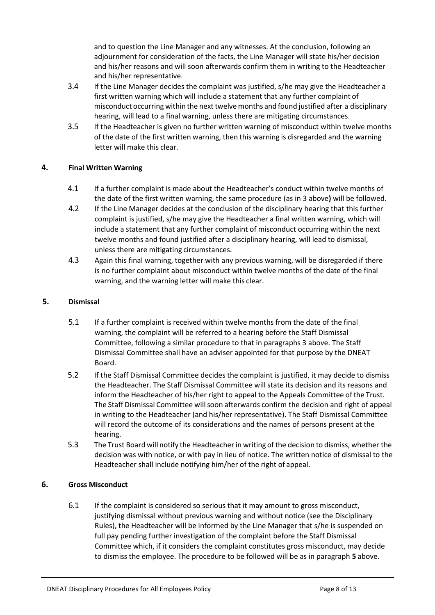and to question the Line Manager and any witnesses. At the conclusion, following an adjournment for consideration of the facts, the Line Manager will state his/her decision and his/her reasons and will soon afterwards confirm them in writing to the Headteacher and his/her representative.

- 3.4 If the Line Manager decides the complaint was justified, s/he may give the Headteacher a first written warning which will include a statement that any further complaint of misconduct occurring within the next twelve months and found justified after a disciplinary hearing, will lead to a final warning, unless there are mitigating circumstances.
- 3.5 If the Headteacher is given no further written warning of misconduct within twelve months of the date of the first written warning, then this warning is disregarded and the warning letter will make this clear.

### **4. Final Written Warning**

- 4.1 If a further complaint is made about the Headteacher's conduct within twelve months of the date of the first written warning, the same procedure (as in 3 above**)** will be followed.
- 4.2 If the Line Manager decides at the conclusion of the disciplinary hearing that this further complaint is justified, s/he may give the Headteacher a final written warning, which will include a statement that any further complaint of misconduct occurring within the next twelve months and found justified after a disciplinary hearing, will lead to dismissal, unless there are mitigating circumstances.
- 4.3 Again this final warning, together with any previous warning, will be disregarded if there is no further complaint about misconduct within twelve months of the date of the final warning, and the warning letter will make this clear.

### **5. Dismissal**

- 5.1 If a further complaint is received within twelve months from the date of the final warning, the complaint will be referred to a hearing before the Staff Dismissal Committee, following a similar procedure to that in paragraphs 3 above. The Staff Dismissal Committee shall have an adviser appointed for that purpose by the DNEAT Board.
- 5.2 If the Staff Dismissal Committee decides the complaint is justified, it may decide to dismiss the Headteacher. The Staff Dismissal Committee will state its decision and its reasons and inform the Headteacher of his/her right to appeal to the Appeals Committee of the Trust. The Staff Dismissal Committee will soon afterwards confirm the decision and right of appeal in writing to the Headteacher (and his/her representative). The Staff Dismissal Committee will record the outcome of its considerations and the names of persons present at the hearing.
- 5.3 The Trust Board will notify the Headteacherin writing of the decision to dismiss, whether the decision was with notice, or with pay in lieu of notice. The written notice of dismissal to the Headteacher shall include notifying him/her of the right of appeal.

### **6. Gross Misconduct**

6.1 If the complaint is considered so serious that it may amount to gross misconduct, justifying dismissal without previous warning and without notice (see the Disciplinary Rules), the Headteacher will be informed by the Line Manager that s/he is suspended on full pay pending further investigation of the complaint before the Staff Dismissal Committee which, if it considers the complaint constitutes gross misconduct, may decide to dismiss the employee. The procedure to be followed will be as in paragraph **5** above.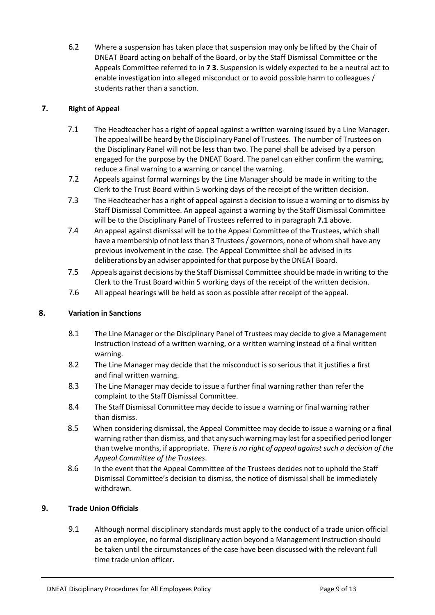6.2 Where a suspension has taken place that suspension may only be lifted by the Chair of DNEAT Board acting on behalf of the Board, or by the Staff Dismissal Committee or the Appeals Committee referred to in **7 3**. Suspension is widely expected to be a neutral act to enable investigation into alleged misconduct or to avoid possible harm to colleagues / students rather than a sanction.

# **7. Right of Appeal**

- 7.1 The Headteacher has a right of appeal against a written warning issued by a Line Manager. The appeal will be heard by the Disciplinary Panel of Trustees. The number of Trustees on the Disciplinary Panel will not be less than two. The panel shall be advised by a person engaged for the purpose by the DNEAT Board. The panel can either confirm the warning, reduce a final warning to a warning or cancel the warning.
- 7.2 Appeals against formal warnings by the Line Manager should be made in writing to the Clerk to the Trust Board within 5 working days of the receipt of the written decision.
- 7.3 The Headteacher has a right of appeal against a decision to issue a warning or to dismiss by Staff Dismissal Committee. An appeal against a warning by the Staff Dismissal Committee will be to the Disciplinary Panel of Trustees referred to in paragraph **7.1** above.
- 7.4 An appeal against dismissal will be to the Appeal Committee of the Trustees, which shall have a membership of not less than 3 Trustees / governors, none of whom shall have any previous involvement in the case. The Appeal Committee shall be advised in its deliberations by an adviser appointed forthat purpose by the DNEAT Board.
- 7.5 Appeals against decisions by the Staff Dismissal Committee should be made in writing to the Clerk to the Trust Board within 5 working days of the receipt of the written decision.
- 7.6 All appeal hearings will be held as soon as possible after receipt of the appeal.

### **8. Variation in Sanctions**

- 8.1 The Line Manager or the Disciplinary Panel of Trustees may decide to give a Management Instruction instead of a written warning, or a written warning instead of a final written warning.
- 8.2 The Line Manager may decide that the misconduct is so serious that it justifies a first and final written warning.
- 8.3 The Line Manager may decide to issue a further final warning rather than refer the complaint to the Staff Dismissal Committee.
- 8.4 The Staff Dismissal Committee may decide to issue a warning or final warning rather than dismiss.
- 8.5 When considering dismissal, the Appeal Committee may decide to issue a warning or a final warning rather than dismiss, and that any such warning may last for a specified period longer than twelve months, if appropriate. *There is no right of appeal against such a decision of the Appeal Committee of the Trustees*.
- 8.6 In the event that the Appeal Committee of the Trustees decides not to uphold the Staff Dismissal Committee's decision to dismiss, the notice of dismissal shall be immediately withdrawn.

# **9. Trade Union Officials**

9.1 Although normal disciplinary standards must apply to the conduct of a trade union official as an employee, no formal disciplinary action beyond a Management Instruction should be taken until the circumstances of the case have been discussed with the relevant full time trade union officer.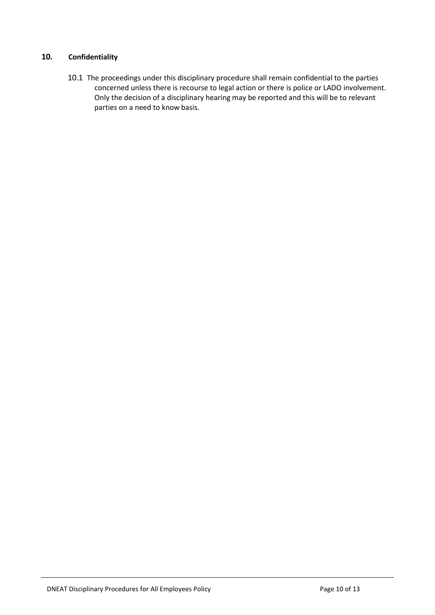# **10. Confidentiality**

10.1 The proceedings under this disciplinary procedure shall remain confidential to the parties concerned unless there is recourse to legal action or there is police or LADO involvement. Only the decision of a disciplinary hearing may be reported and this will be to relevant parties on a need to know basis.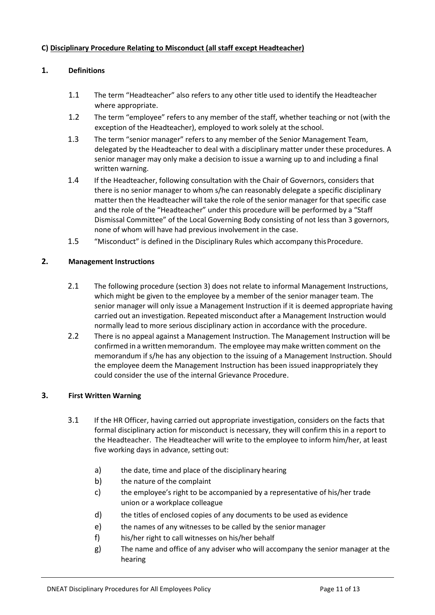## **C) Disciplinary Procedure Relating to Misconduct (all staff except Headteacher)**

# **1. Definitions**

- 1.1 The term "Headteacher" also refers to any other title used to identify the Headteacher where appropriate.
- 1.2 The term "employee" refers to any member of the staff, whether teaching or not (with the exception of the Headteacher), employed to work solely at the school.
- 1.3 The term "senior manager" refers to any member of the Senior Management Team, delegated by the Headteacher to deal with a disciplinary matter under these procedures. A senior manager may only make a decision to issue a warning up to and including a final written warning.
- 1.4 If the Headteacher, following consultation with the Chair of Governors, considers that there is no senior manager to whom s/he can reasonably delegate a specific disciplinary matter then the Headteacher will take the role of the senior manager for that specific case and the role of the "Headteacher" under this procedure will be performed by a "Staff Dismissal Committee" of the Local Governing Body consisting of not less than 3 governors, none of whom will have had previous involvement in the case.
- 1.5 "Misconduct" is defined in the Disciplinary Rules which accompany this Procedure.

# **2. Management Instructions**

- 2.1 The following procedure (section 3) does not relate to informal Management Instructions, which might be given to the employee by a member of the senior manager team. The senior manager will only issue a Management Instruction if it is deemed appropriate having carried out an investigation. Repeated misconduct after a Management Instruction would normally lead to more serious disciplinary action in accordance with the procedure.
- 2.2 There is no appeal against a Management Instruction. The Management Instruction will be confirmed in a written memorandum. The employee may make written comment on the memorandum if s/he has any objection to the issuing of a Management Instruction. Should the employee deem the Management Instruction has been issued inappropriately they could consider the use of the internal Grievance Procedure.

### **3. First Written Warning**

- 3.1 If the HR Officer, having carried out appropriate investigation, considers on the facts that formal disciplinary action for misconduct is necessary, they will confirm this in a report to the Headteacher. The Headteacher will write to the employee to inform him/her, at least five working days in advance, setting out:
	- a) the date, time and place of the disciplinary hearing
	- b) the nature of the complaint
	- c) the employee's right to be accompanied by a representative of his/her trade union or a workplace colleague
	- d) the titles of enclosed copies of any documents to be used as evidence
	- e) the names of any witnesses to be called by the senior manager
	- f) his/her right to call witnesses on his/her behalf
	- g) The name and office of any adviser who will accompany the senior manager at the hearing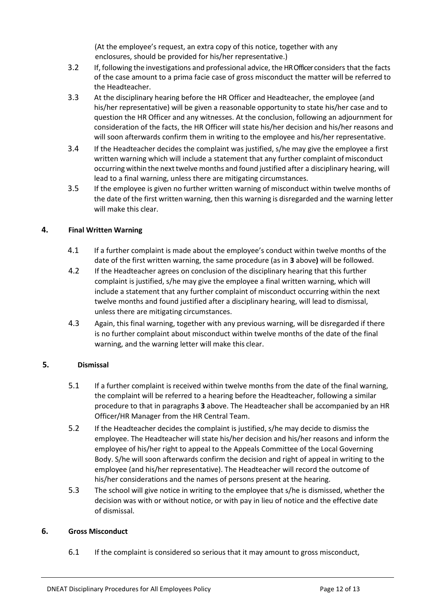(At the employee's request, an extra copy of this notice, together with any enclosures, should be provided for his/her representative.)

- 3.2 If, following the investigations and professional advice, the HR Officer considers that the facts of the case amount to a prima facie case of gross misconduct the matter will be referred to the Headteacher.
- 3.3 At the disciplinary hearing before the HR Officer and Headteacher, the employee (and his/her representative) will be given a reasonable opportunity to state his/her case and to question the HR Officer and any witnesses. At the conclusion, following an adjournment for consideration of the facts, the HR Officer will state his/her decision and his/her reasons and will soon afterwards confirm them in writing to the employee and his/her representative.
- 3.4 If the Headteacher decides the complaint was justified, s/he may give the employee a first written warning which will include a statement that any further complaint of misconduct occurring within the next twelve months and found justified after a disciplinary hearing, will lead to a final warning, unless there are mitigating circumstances.
- 3.5 If the employee is given no further written warning of misconduct within twelve months of the date of the first written warning, then this warning is disregarded and the warning letter will make this clear.

# **4. Final Written Warning**

- 4.1 If a further complaint is made about the employee's conduct within twelve months of the date of the first written warning, the same procedure (as in **3** above**)** will be followed.
- 4.2 If the Headteacher agrees on conclusion of the disciplinary hearing that this further complaint is justified, s/he may give the employee a final written warning, which will include a statement that any further complaint of misconduct occurring within the next twelve months and found justified after a disciplinary hearing, will lead to dismissal, unless there are mitigating circumstances.
- 4.3 Again, this final warning, together with any previous warning, will be disregarded if there is no further complaint about misconduct within twelve months of the date of the final warning, and the warning letter will make this clear.

### **5. Dismissal**

- 5.1 If a further complaint is received within twelve months from the date of the final warning, the complaint will be referred to a hearing before the Headteacher, following a similar procedure to that in paragraphs **3** above. The Headteacher shall be accompanied by an HR Officer/HR Manager from the HR Central Team.
- 5.2 If the Headteacher decides the complaint is justified, s/he may decide to dismiss the employee. The Headteacher will state his/her decision and his/her reasons and inform the employee of his/her right to appeal to the Appeals Committee of the Local Governing Body. S/he will soon afterwards confirm the decision and right of appeal in writing to the employee (and his/her representative). The Headteacher will record the outcome of his/her considerations and the names of persons present at the hearing.
- 5.3 The school will give notice in writing to the employee that s/he is dismissed, whether the decision was with or without notice, or with pay in lieu of notice and the effective date of dismissal.

### **6. Gross Misconduct**

6.1 If the complaint is considered so serious that it may amount to gross misconduct,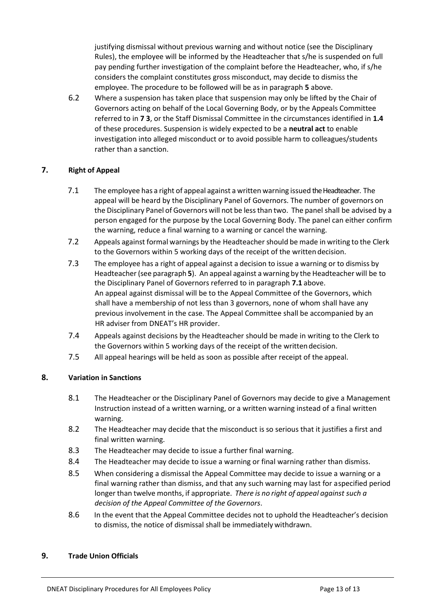justifying dismissal without previous warning and without notice (see the Disciplinary Rules), the employee will be informed by the Headteacher that s/he is suspended on full pay pending further investigation of the complaint before the Headteacher, who, if s/he considers the complaint constitutes gross misconduct, may decide to dismiss the employee. The procedure to be followed will be as in paragraph **5** above.

6.2 Where a suspension has taken place that suspension may only be lifted by the Chair of Governors acting on behalf of the Local Governing Body, or by the Appeals Committee referred to in **7 3**, or the Staff Dismissal Committee in the circumstances identified in **1.4**  of these procedures. Suspension is widely expected to be a **neutral act** to enable investigation into alleged misconduct or to avoid possible harm to colleagues/students rather than a sanction.

### **7. Right of Appeal**

- 7.1 The employee has a right of appeal against a written warning issued the Headteacher. The appeal will be heard by the Disciplinary Panel of Governors. The number of governors on the Disciplinary Panel of Governors will not be lessthan two. The panel shall be advised by a person engaged for the purpose by the Local Governing Body. The panel can either confirm the warning, reduce a final warning to a warning or cancel the warning.
- 7.2 Appeals against formal warnings by the Headteacher should be made in writing to the Clerk to the Governors within 5 working days of the receipt of the written decision.
- 7.3 The employee has a right of appeal against a decision to issue a warning or to dismiss by Headteacher(see paragraph **5**). An appeal against a warning by the Headteacher will be to the Disciplinary Panel of Governors referred to in paragraph **7.1** above. An appeal against dismissal will be to the Appeal Committee of the Governors, which shall have a membership of not less than 3 governors, none of whom shall have any previous involvement in the case. The Appeal Committee shall be accompanied by an HR adviser from DNEAT's HR provider.
- 7.4 Appeals against decisions by the Headteacher should be made in writing to the Clerk to the Governors within 5 working days of the receipt of the writtendecision.
- 7.5 All appeal hearings will be held as soon as possible after receipt of the appeal.

### **8. Variation in Sanctions**

- 8.1 The Headteacher or the Disciplinary Panel of Governors may decide to give a Management Instruction instead of a written warning, or a written warning instead of a final written warning.
- 8.2 The Headteacher may decide that the misconduct is so serious that it justifies a first and final written warning.
- 8.3 The Headteacher may decide to issue a further final warning.
- 8.4 The Headteacher may decide to issue a warning or final warning rather than dismiss.
- 8.5 When considering a dismissal the Appeal Committee may decide to issue a warning or a final warning rather than dismiss, and that any such warning may last for aspecified period longer than twelve months, if appropriate. *There is no right of appeal against such a decision of the Appeal Committee of the Governors*.
- 8.6 In the event that the Appeal Committee decides not to uphold the Headteacher's decision to dismiss, the notice of dismissal shall be immediately withdrawn.

### **9. Trade Union Officials**